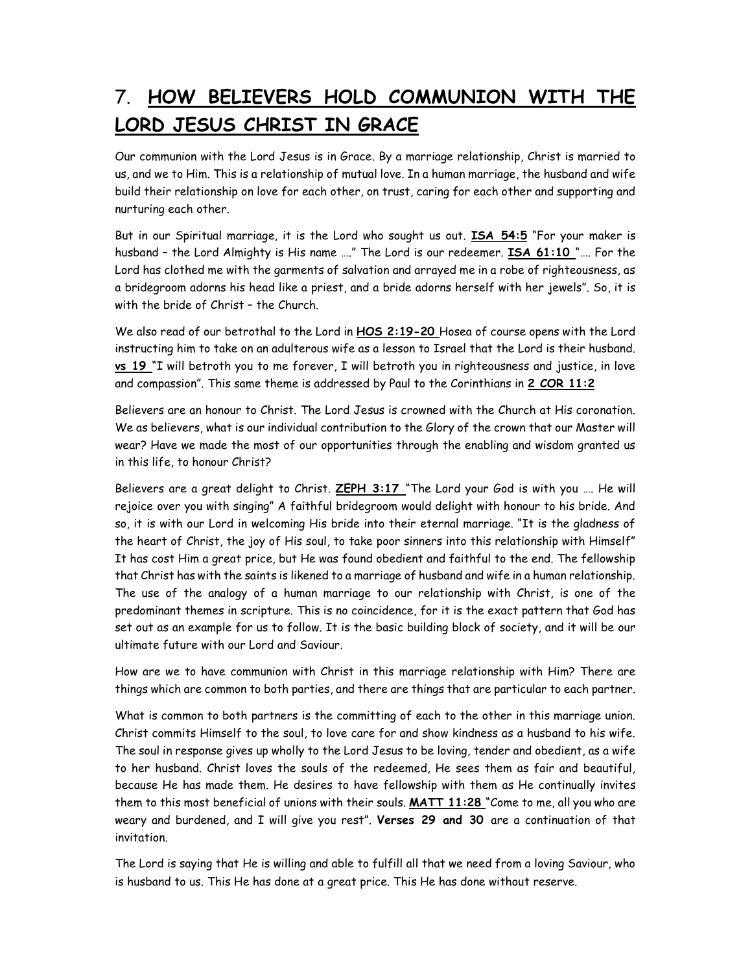## 7. HOW BELIEVERS HOLD COMMUNION WITH THE LORD JESUS CHRIST IN GRACE

Our communion with the Lord Jesus is in Grace. By a marriage relationship, Christ is married to us, and we to Him. This is a relationship of mutual love. In a human marriage, the husband and wife build their relationship on love for each other, on trust, caring for each other and supporting and nurturing each other.

But in our Spiritual marriage, it is the Lord who sought us out. ISA 54:5 "For your maker is husband - the Lord Almighty is His name ...." The Lord is our redeemer. **ISA 61:10** ".... For the Lord has clothed me with the garments of salvation and arrayed me in a robe of righteousness, as a bridegroom adorns his head like a priest, and a bride adorns herself with her jewels". So, it is with the bride of Christ – the Church.

We also read of our betrothal to the Lord in HOS 2:19-20 Hosea of course opens with the Lord instructing him to take on an adulterous wife as a lesson to Israel that the Lord is their husband. vs 19 "I will betroth you to me forever, I will betroth you in righteousness and justice, in love and compassion". This same theme is addressed by Paul to the Corinthians in 2 COR 11:2

Believers are an honour to Christ. The Lord Jesus is crowned with the Church at His coronation. We as believers, what is our individual contribution to the Glory of the crown that our Master will wear? Have we made the most of our opportunities through the enabling and wisdom granted us in this life, to honour Christ?

Believers are a great delight to Christ. ZEPH 3:17 "The Lord your God is with you .... He will rejoice over you with singing" A faithful bridegroom would delight with honour to his bride. And so, it is with our Lord in welcoming His bride into their eternal marriage. "It is the gladness of the heart of Christ, the joy of His soul, to take poor sinners into this relationship with Himself" It has cost Him a great price, but He was found obedient and faithful to the end. The fellowship that Christ has with the saints is likened to a marriage of husband and wife in a human relationship. The use of the analogy of a human marriage to our relationship with Christ, is one of the predominant themes in scripture. This is no coincidence, for it is the exact pattern that God has set out as an example for us to follow. It is the basic building block of society, and it will be our ultimate future with our Lord and Saviour.

How are we to have communion with Christ in this marriage relationship with Him? There are things which are common to both parties, and there are things that are particular to each partner.

What is common to both partners is the committing of each to the other in this marriage union. Christ commits Himself to the soul, to love care for and show kindness as a husband to his wife. The soul in response gives up wholly to the Lord Jesus to be loving, tender and obedient, as a wife to her husband. Christ loves the souls of the redeemed, He sees them as fair and beautiful, because He has made them. He desires to have fellowship with them as He continually invites them to this most beneficial of unions with their souls. MATT 11:28 "Come to me, all you who are weary and burdened, and I will give you rest". Verses 29 and 30 are a continuation of that invitation.

The Lord is saying that He is willing and able to fulfill all that we need from a loving Saviour, who is husband to us. This He has done at a great price. This He has done without reserve.